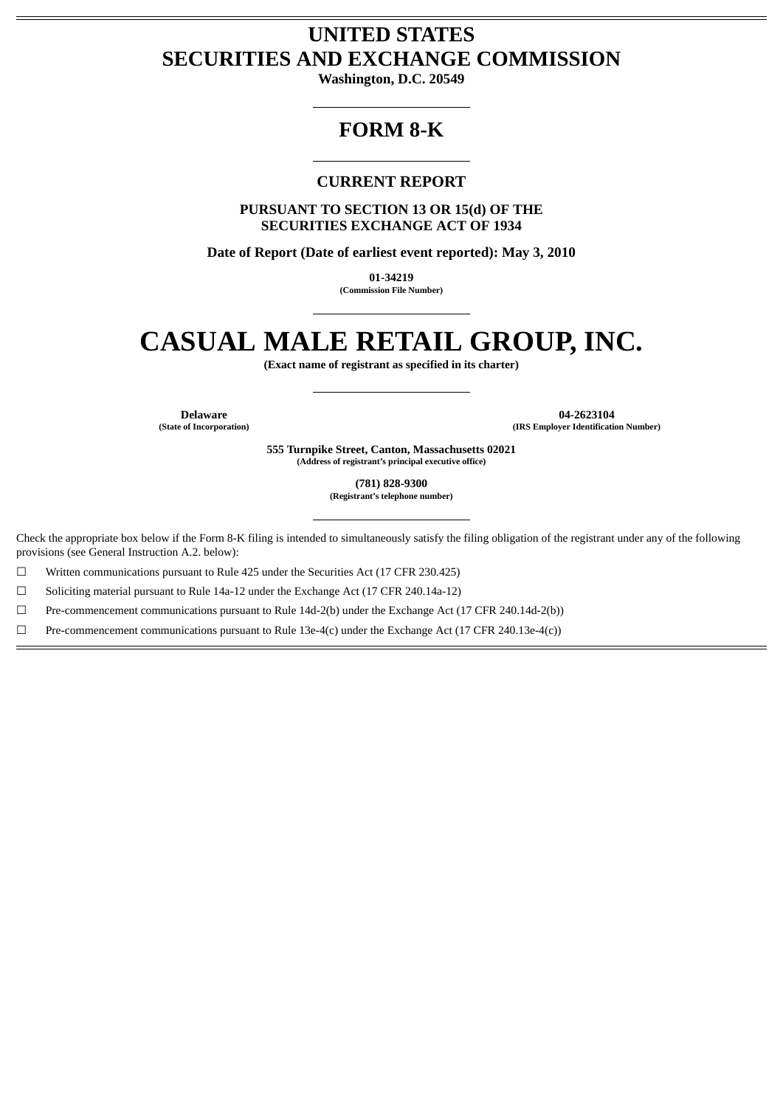# **UNITED STATES SECURITIES AND EXCHANGE COMMISSION**

**Washington, D.C. 20549**

## **FORM 8-K**

## **CURRENT REPORT**

**PURSUANT TO SECTION 13 OR 15(d) OF THE SECURITIES EXCHANGE ACT OF 1934**

**Date of Report (Date of earliest event reported): May 3, 2010**

**01-34219 (Commission File Number)**

# **CASUAL MALE RETAIL GROUP, INC.**

**(Exact name of registrant as specified in its charter)**

**Delaware 04-2623104 (State of Incorporation) (IRS Employer Identification Number)**

> **555 Turnpike Street, Canton, Massachusetts 02021 (Address of registrant's principal executive office)**

> > **(781) 828-9300**

**(Registrant's telephone number)**

Check the appropriate box below if the Form 8-K filing is intended to simultaneously satisfy the filing obligation of the registrant under any of the following provisions (see General Instruction A.2. below):

 $\Box$  Written communications pursuant to Rule 425 under the Securities Act (17 CFR 230.425)

☐ Soliciting material pursuant to Rule 14a-12 under the Exchange Act (17 CFR 240.14a-12)

☐ Pre-commencement communications pursuant to Rule 14d-2(b) under the Exchange Act (17 CFR 240.14d-2(b))

☐ Pre-commencement communications pursuant to Rule 13e-4(c) under the Exchange Act (17 CFR 240.13e-4(c))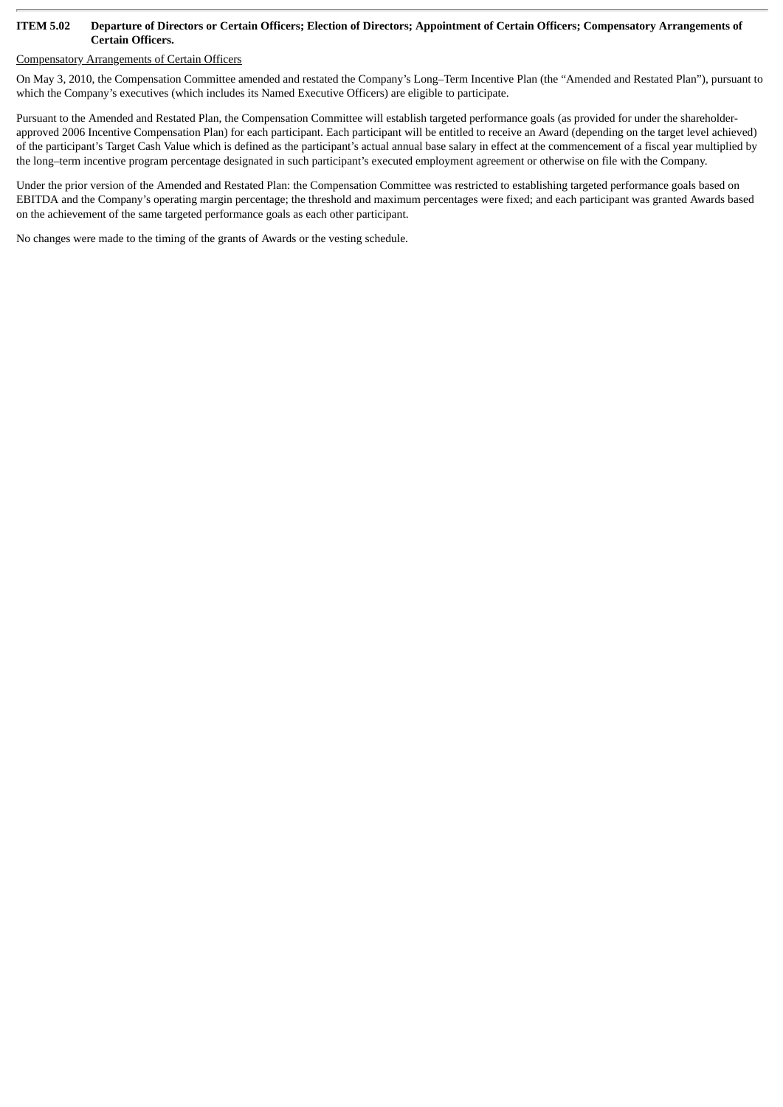#### **ITEM 5.02 Departure of Directors or Certain Officers; Election of Directors; Appointment of Certain Officers; Compensatory Arrangements of Certain Officers.**

### Compensatory Arrangements of Certain Officers

On May 3, 2010, the Compensation Committee amended and restated the Company's Long–Term Incentive Plan (the "Amended and Restated Plan"), pursuant to which the Company's executives (which includes its Named Executive Officers) are eligible to participate.

Pursuant to the Amended and Restated Plan, the Compensation Committee will establish targeted performance goals (as provided for under the shareholderapproved 2006 Incentive Compensation Plan) for each participant. Each participant will be entitled to receive an Award (depending on the target level achieved) of the participant's Target Cash Value which is defined as the participant's actual annual base salary in effect at the commencement of a fiscal year multiplied by the long–term incentive program percentage designated in such participant's executed employment agreement or otherwise on file with the Company.

Under the prior version of the Amended and Restated Plan: the Compensation Committee was restricted to establishing targeted performance goals based on EBITDA and the Company's operating margin percentage; the threshold and maximum percentages were fixed; and each participant was granted Awards based on the achievement of the same targeted performance goals as each other participant.

No changes were made to the timing of the grants of Awards or the vesting schedule.